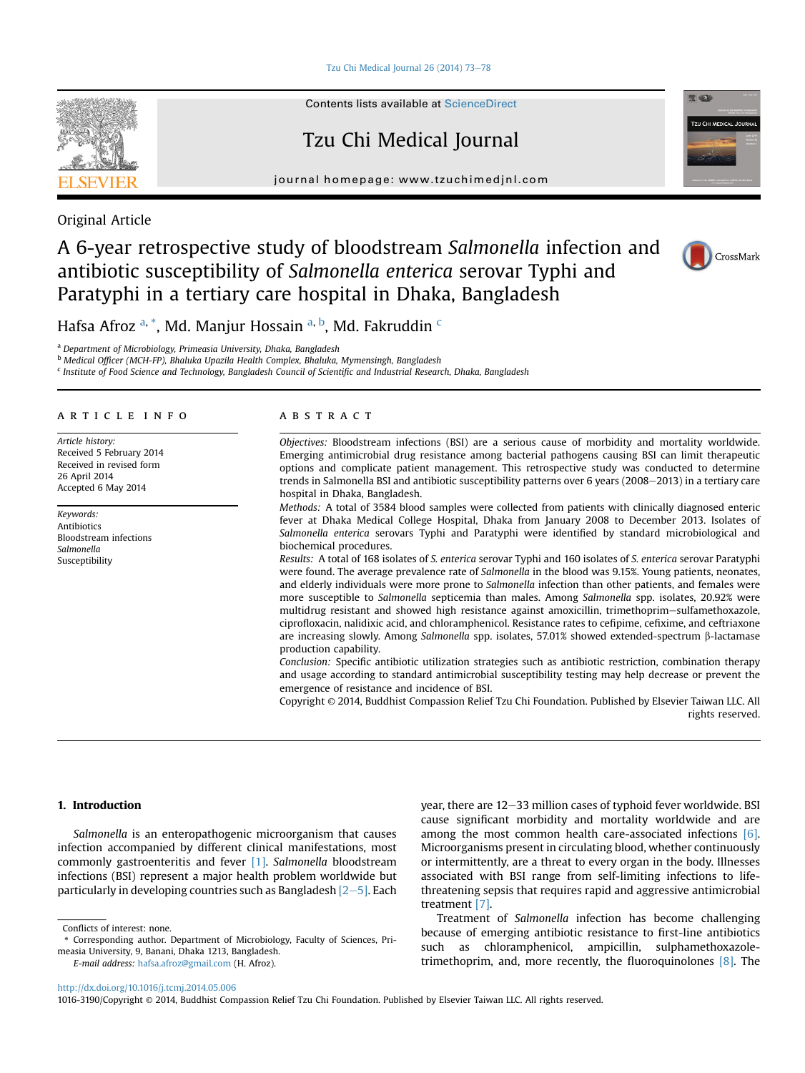[Tzu Chi Medical Journal 26 \(2014\) 73](http://dx.doi.org/10.1016/j.tcmj.2014.05.006)-[78](http://dx.doi.org/10.1016/j.tcmj.2014.05.006)



Contents lists available at [ScienceDirect](www.sciencedirect.com/science/journal/10163190)

# Tzu Chi Medical Journal

journal homepage: [www.tzuchimedjnl.com](http://www.tzuchimedjnl.com)



Original Article

# A 6-year retrospective study of bloodstream Salmonella infection and antibiotic susceptibility of Salmonella enterica serovar Typhi and Paratyphi in a tertiary care hospital in Dhaka, Bangladesh



Hafsa Afroz <sup>a, \*</sup>, Md. Manjur Hossain <sup>a, b</sup>, Md. Fakruddin <sup>c</sup>

<sup>a</sup> Department of Microbiology, Primeasia University, Dhaka, Bangladesh

<sup>b</sup> Medical Officer (MCH-FP), Bhaluka Upazila Health Complex, Bhaluka, Mymensingh, Bangladesh

<sup>c</sup> Institute of Food Science and Technology, Bangladesh Council of Scientific and Industrial Research, Dhaka, Bangladesh

### article info

Article history: Received 5 February 2014 Received in revised form 26 April 2014 Accepted 6 May 2014

Keywords: Antibiotics Bloodstream infections Salmonella Susceptibility

# **ABSTRACT**

Objectives: Bloodstream infections (BSI) are a serious cause of morbidity and mortality worldwide. Emerging antimicrobial drug resistance among bacterial pathogens causing BSI can limit therapeutic options and complicate patient management. This retrospective study was conducted to determine trends in Salmonella BSI and antibiotic susceptibility patterns over 6 years (2008–2013) in a tertiary care hospital in Dhaka, Bangladesh.

Methods: A total of 3584 blood samples were collected from patients with clinically diagnosed enteric fever at Dhaka Medical College Hospital, Dhaka from January 2008 to December 2013. Isolates of Salmonella enterica serovars Typhi and Paratyphi were identified by standard microbiological and biochemical procedures.

Results: A total of 168 isolates of S. enterica serovar Typhi and 160 isolates of S. enterica serovar Paratyphi were found. The average prevalence rate of Salmonella in the blood was 9.15%. Young patients, neonates, and elderly individuals were more prone to Salmonella infection than other patients, and females were more susceptible to Salmonella septicemia than males. Among Salmonella spp. isolates, 20.92% were multidrug resistant and showed high resistance against amoxicillin, trimethoprim-sulfamethoxazole, ciprofloxacin, nalidixic acid, and chloramphenicol. Resistance rates to cefipime, cefixime, and ceftriaxone are increasing slowly. Among Salmonella spp. isolates,  $57.01\%$  showed extended-spectrum  $\beta$ -lactamase production capability.

Conclusion: Specific antibiotic utilization strategies such as antibiotic restriction, combination therapy and usage according to standard antimicrobial susceptibility testing may help decrease or prevent the emergence of resistance and incidence of BSI.

Copyright © 2014, Buddhist Compassion Relief Tzu Chi Foundation. Published by Elsevier Taiwan LLC. All rights reserved.

# 1. Introduction

Salmonella is an enteropathogenic microorganism that causes infection accompanied by different clinical manifestations, most commonly gastroenteritis and fever [\[1\].](#page-5-0) Salmonella bloodstream infections (BSI) represent a major health problem worldwide but particularly in developing countries such as Bangladesh  $[2-5]$  $[2-5]$  $[2-5]$ . Each

Corresponding author. Department of Microbiology, Faculty of Sciences, Pri-

year, there are 12-33 million cases of typhoid fever worldwide. BSI cause significant morbidity and mortality worldwide and are among the most common health care-associated infections [\[6\].](#page-5-0) Microorganisms present in circulating blood, whether continuously or intermittently, are a threat to every organ in the body. Illnesses associated with BSI range from self-limiting infections to lifethreatening sepsis that requires rapid and aggressive antimicrobial treatment [\[7\]](#page-5-0).

Treatment of Salmonella infection has become challenging because of emerging antibiotic resistance to first-line antibiotics such as chloramphenicol, ampicillin, sulphamethoxazoletrimethoprim, and, more recently, the fluoroquinolones [\[8\]](#page-5-0). The

<http://dx.doi.org/10.1016/j.tcmj.2014.05.006>

measia University, 9, Banani, Dhaka 1213, Bangladesh. E-mail address: [hafsa.afroz@gmail.com](mailto:hafsa.afroz@gmail.com) (H. Afroz).

Conflicts of interest: none.

<sup>1016-3190/</sup>Copyright © 2014, Buddhist Compassion Relief Tzu Chi Foundation. Published by Elsevier Taiwan LLC. All rights reserved.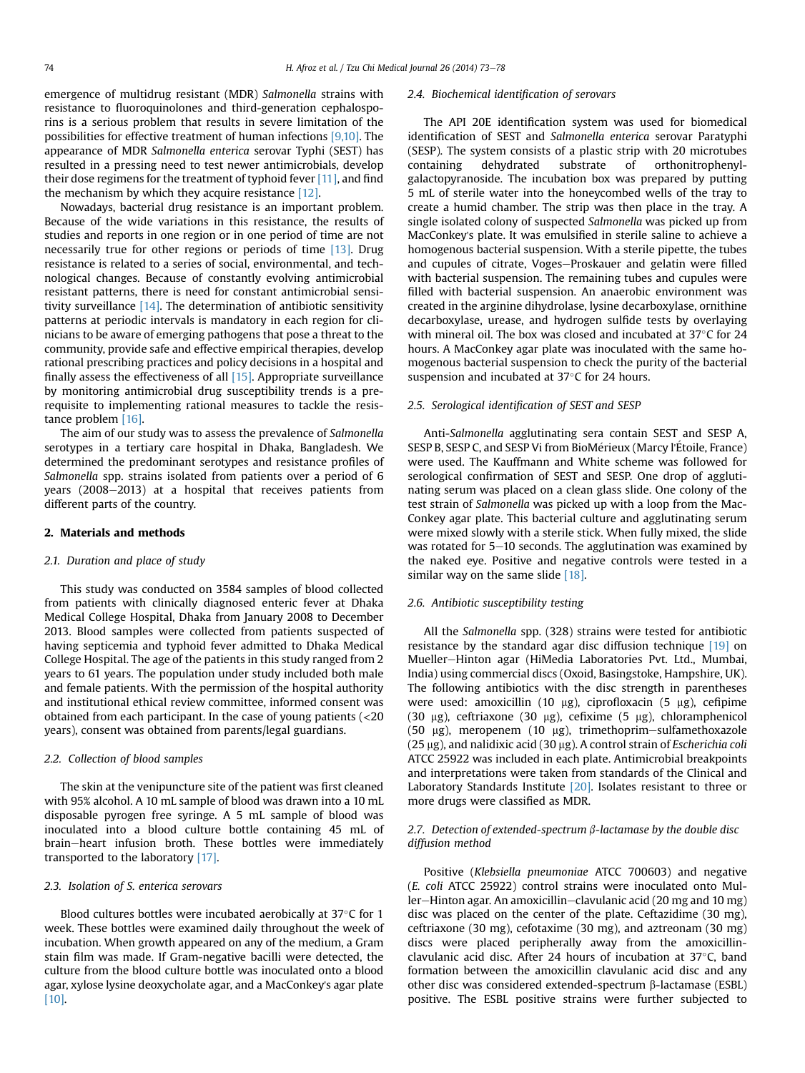emergence of multidrug resistant (MDR) Salmonella strains with resistance to fluoroquinolones and third-generation cephalosporins is a serious problem that results in severe limitation of the possibilities for effective treatment of human infections [\[9,10\].](#page-5-0) The appearance of MDR Salmonella enterica serovar Typhi (SEST) has resulted in a pressing need to test newer antimicrobials, develop their dose regimens for the treatment of typhoid fever [\[11\],](#page-5-0) and find the mechanism by which they acquire resistance [\[12\].](#page-5-0)

Nowadays, bacterial drug resistance is an important problem. Because of the wide variations in this resistance, the results of studies and reports in one region or in one period of time are not necessarily true for other regions or periods of time [\[13\]](#page-5-0). Drug resistance is related to a series of social, environmental, and technological changes. Because of constantly evolving antimicrobial resistant patterns, there is need for constant antimicrobial sensitivity surveillance  $[14]$ . The determination of antibiotic sensitivity patterns at periodic intervals is mandatory in each region for clinicians to be aware of emerging pathogens that pose a threat to the community, provide safe and effective empirical therapies, develop rational prescribing practices and policy decisions in a hospital and finally assess the effectiveness of all  $[15]$ . Appropriate surveillance by monitoring antimicrobial drug susceptibility trends is a prerequisite to implementing rational measures to tackle the resistance problem [\[16\].](#page-5-0)

The aim of our study was to assess the prevalence of Salmonella serotypes in a tertiary care hospital in Dhaka, Bangladesh. We determined the predominant serotypes and resistance profiles of Salmonella spp. strains isolated from patients over a period of 6 years  $(2008-2013)$  at a hospital that receives patients from different parts of the country.

#### 2. Materials and methods

#### 2.1. Duration and place of study

This study was conducted on 3584 samples of blood collected from patients with clinically diagnosed enteric fever at Dhaka Medical College Hospital, Dhaka from January 2008 to December 2013. Blood samples were collected from patients suspected of having septicemia and typhoid fever admitted to Dhaka Medical College Hospital. The age of the patients in this study ranged from 2 years to 61 years. The population under study included both male and female patients. With the permission of the hospital authority and institutional ethical review committee, informed consent was obtained from each participant. In the case of young patients (<20 years), consent was obtained from parents/legal guardians.

#### 2.2. Collection of blood samples

The skin at the venipuncture site of the patient was first cleaned with 95% alcohol. A 10 mL sample of blood was drawn into a 10 mL disposable pyrogen free syringe. A 5 mL sample of blood was inoculated into a blood culture bottle containing 45 mL of brain-heart infusion broth. These bottles were immediately transported to the laboratory [\[17\]](#page-5-0).

## 2.3. Isolation of S. enterica serovars

Blood cultures bottles were incubated aerobically at  $37^{\circ}$ C for 1 week. These bottles were examined daily throughout the week of incubation. When growth appeared on any of the medium, a Gram stain film was made. If Gram-negative bacilli were detected, the culture from the blood culture bottle was inoculated onto a blood agar, xylose lysine deoxycholate agar, and a MacConkey's agar plate [\[10\].](#page-5-0)

#### 2.4. Biochemical identification of serovars

The API 20E identification system was used for biomedical identification of SEST and Salmonella enterica serovar Paratyphi (SESP). The system consists of a plastic strip with 20 microtubes containing dehydrated substrate of orthonitrophenylgalactopyranoside. The incubation box was prepared by putting 5 mL of sterile water into the honeycombed wells of the tray to create a humid chamber. The strip was then place in the tray. A single isolated colony of suspected Salmonella was picked up from MacConkey's plate. It was emulsified in sterile saline to achieve a homogenous bacterial suspension. With a sterile pipette, the tubes and cupules of citrate, Voges-Proskauer and gelatin were filled with bacterial suspension. The remaining tubes and cupules were filled with bacterial suspension. An anaerobic environment was created in the arginine dihydrolase, lysine decarboxylase, ornithine decarboxylase, urease, and hydrogen sulfide tests by overlaying with mineral oil. The box was closed and incubated at  $37^{\circ}$ C for 24 hours. A MacConkey agar plate was inoculated with the same homogenous bacterial suspension to check the purity of the bacterial suspension and incubated at  $37^{\circ}$ C for 24 hours.

#### 2.5. Serological identification of SEST and SESP

Anti-Salmonella agglutinating sera contain SEST and SESP A, SESP B, SESP C, and SESP Vi from BioMérieux (Marcy l'Étoile, France) were used. The Kauffmann and White scheme was followed for serological confirmation of SEST and SESP. One drop of agglutinating serum was placed on a clean glass slide. One colony of the test strain of Salmonella was picked up with a loop from the Mac-Conkey agar plate. This bacterial culture and agglutinating serum were mixed slowly with a sterile stick. When fully mixed, the slide was rotated for  $5-10$  seconds. The agglutination was examined by the naked eye. Positive and negative controls were tested in a similar way on the same slide  $[18]$ .

#### 2.6. Antibiotic susceptibility testing

All the Salmonella spp. (328) strains were tested for antibiotic resistance by the standard agar disc diffusion technique [\[19\]](#page-5-0) on Mueller-Hinton agar (HiMedia Laboratories Pvt. Ltd., Mumbai, India) using commercial discs (Oxoid, Basingstoke, Hampshire, UK). The following antibiotics with the disc strength in parentheses were used: amoxicillin (10  $\mu$ g), ciprofloxacin (5  $\mu$ g), cefipime (30  $\mu$ g), ceftriaxone (30  $\mu$ g), cefixime (5  $\mu$ g), chloramphenicol (50  $\mu$ g), meropenem (10  $\mu$ g), trimethoprim-sulfamethoxazole ( $25 \,\mu$ g), and nalidixic acid ( $30 \,\mu$ g). A control strain of Escherichia coli ATCC 25922 was included in each plate. Antimicrobial breakpoints and interpretations were taken from standards of the Clinical and Laboratory Standards Institute [\[20\]](#page-5-0). Isolates resistant to three or more drugs were classified as MDR.

# 2.7. Detection of extended-spectrum  $\beta$ -lactamase by the double disc diffusion method

Positive (Klebsiella pneumoniae ATCC 700603) and negative (E. coli ATCC 25922) control strains were inoculated onto Muller-Hinton agar. An amoxicillin-clavulanic acid (20 mg and 10 mg) disc was placed on the center of the plate. Ceftazidime (30 mg), ceftriaxone (30 mg), cefotaxime (30 mg), and aztreonam (30 mg) discs were placed peripherally away from the amoxicillinclavulanic acid disc. After 24 hours of incubation at  $37^{\circ}$ C, band formation between the amoxicillin clavulanic acid disc and any other disc was considered extended-spectrum  $\beta$ -lactamase (ESBL) positive. The ESBL positive strains were further subjected to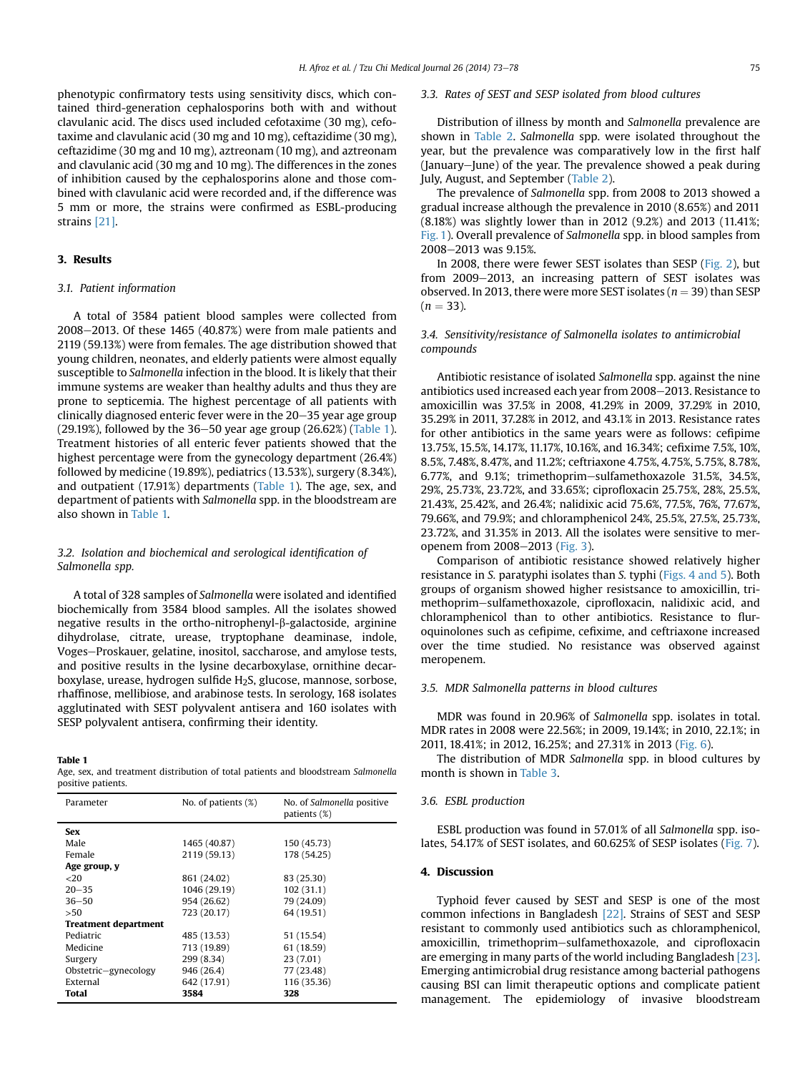phenotypic confirmatory tests using sensitivity discs, which contained third-generation cephalosporins both with and without clavulanic acid. The discs used included cefotaxime (30 mg), cefotaxime and clavulanic acid (30 mg and 10 mg), ceftazidime (30 mg), ceftazidime (30 mg and 10 mg), aztreonam (10 mg), and aztreonam and clavulanic acid (30 mg and 10 mg). The differences in the zones of inhibition caused by the cephalosporins alone and those combined with clavulanic acid were recorded and, if the difference was 5 mm or more, the strains were confirmed as ESBL-producing strains [\[21\]](#page-5-0).

## 3. Results

## 3.1. Patient information

A total of 3584 patient blood samples were collected from  $2008-2013$ . Of these 1465 (40.87%) were from male patients and 2119 (59.13%) were from females. The age distribution showed that young children, neonates, and elderly patients were almost equally susceptible to Salmonella infection in the blood. It is likely that their immune systems are weaker than healthy adults and thus they are prone to septicemia. The highest percentage of all patients with clinically diagnosed enteric fever were in the  $20-35$  year age group (29.19%), followed by the  $36-50$  year age group (26.62%) (Table 1). Treatment histories of all enteric fever patients showed that the highest percentage were from the gynecology department (26.4%) followed by medicine (19.89%), pediatrics (13.53%), surgery (8.34%), and outpatient (17.91%) departments (Table 1). The age, sex, and department of patients with Salmonella spp. in the bloodstream are also shown in Table 1.

# 3.2. Isolation and biochemical and serological identification of Salmonella spp.

A total of 328 samples of Salmonella were isolated and identified biochemically from 3584 blood samples. All the isolates showed negative results in the ortho-nitrophenyl- $\beta$ -galactoside, arginine dihydrolase, citrate, urease, tryptophane deaminase, indole, Voges-Proskauer, gelatine, inositol, saccharose, and amylose tests, and positive results in the lysine decarboxylase, ornithine decarboxylase, urease, hydrogen sulfide H<sub>2</sub>S, glucose, mannose, sorbose, rhaffinose, mellibiose, and arabinose tests. In serology, 168 isolates agglutinated with SEST polyvalent antisera and 160 isolates with SESP polyvalent antisera, confirming their identity.

#### Table 1

Age, sex, and treatment distribution of total patients and bloodstream Salmonella positive patients.

| Parameter                   | No. of patients $(\%)$ | No. of Salmonella positive<br>patients (%) |  |  |
|-----------------------------|------------------------|--------------------------------------------|--|--|
| Sex                         |                        |                                            |  |  |
| Male                        | 1465 (40.87)           | 150 (45.73)                                |  |  |
| Female                      | 2119 (59.13)           | 178 (54.25)                                |  |  |
| Age group, y                |                        |                                            |  |  |
| <20                         | 861 (24.02)            | 83 (25.30)                                 |  |  |
| $20 - 35$                   | 1046 (29.19)           | 102(31.1)                                  |  |  |
| $36 - 50$                   | 954 (26.62)            | 79 (24.09)                                 |  |  |
| >50                         | 723 (20.17)            | 64 (19.51)                                 |  |  |
| <b>Treatment department</b> |                        |                                            |  |  |
| Pediatric                   | 485 (13.53)            | 51 (15.54)                                 |  |  |
| Medicine                    | 713 (19.89)            | 61 (18.59)                                 |  |  |
| Surgery                     | 299 (8.34)             | 23 (7.01)                                  |  |  |
| Obstetric-gynecology        | 946 (26.4)             | 77 (23.48)                                 |  |  |
| External                    | 642 (17.91)            | 116 (35.36)                                |  |  |
| Total                       | 3584                   | 328                                        |  |  |

#### 3.3. Rates of SEST and SESP isolated from blood cultures

Distribution of illness by month and Salmonella prevalence are shown in [Table 2.](#page-3-0) Salmonella spp. were isolated throughout the year, but the prevalence was comparatively low in the first half (January–June) of the year. The prevalence showed a peak during July, August, and September [\(Table 2](#page-3-0)).

The prevalence of Salmonella spp. from 2008 to 2013 showed a gradual increase although the prevalence in 2010 (8.65%) and 2011 (8.18%) was slightly lower than in 2012 (9.2%) and 2013 (11.41%; [Fig. 1\)](#page-3-0). Overall prevalence of Salmonella spp. in blood samples from 2008-2013 was 9.15%.

In 2008, there were fewer SEST isolates than SESP ([Fig. 2](#page-3-0)), but from 2009–2013, an increasing pattern of SEST isolates was observed. In 2013, there were more SEST isolates ( $n = 39$ ) than SESP  $(n = 33)$ .

# 3.4. Sensitivity/resistance of Salmonella isolates to antimicrobial compounds

Antibiotic resistance of isolated Salmonella spp. against the nine antibiotics used increased each year from 2008-2013. Resistance to amoxicillin was 37.5% in 2008, 41.29% in 2009, 37.29% in 2010, 35.29% in 2011, 37.28% in 2012, and 43.1% in 2013. Resistance rates for other antibiotics in the same years were as follows: cefipime 13.75%, 15.5%, 14.17%, 11.17%, 10.16%, and 16.34%; cefixime 7.5%, 10%, 8.5%, 7.48%, 8.47%, and 11.2%; ceftriaxone 4.75%, 4.75%, 5.75%, 8.78%, 6.77%, and 9.1%; trimethoprim-sulfamethoxazole 31.5%, 34.5%, 29%, 25.73%, 23.72%, and 33.65%; ciprofloxacin 25.75%, 28%, 25.5%, 21.43%, 25.42%, and 26.4%; nalidixic acid 75.6%, 77.5%, 76%, 77.67%, 79.66%, and 79.9%; and chloramphenicol 24%, 25.5%, 27.5%, 25.73%, 23.72%, and 31.35% in 2013. All the isolates were sensitive to mer-openem from 2008-2013 ([Fig. 3\)](#page-4-0).

Comparison of antibiotic resistance showed relatively higher resistance in S. paratyphi isolates than S. typhi [\(Figs. 4 and 5\)](#page-4-0). Both groups of organism showed higher resistsance to amoxicillin, trimethoprim-sulfamethoxazole, ciprofloxacin, nalidixic acid, and chloramphenicol than to other antibiotics. Resistance to fluroquinolones such as cefipime, cefixime, and ceftriaxone increased over the time studied. No resistance was observed against meropenem.

### 3.5. MDR Salmonella patterns in blood cultures

MDR was found in 20.96% of Salmonella spp. isolates in total. MDR rates in 2008 were 22.56%; in 2009, 19.14%; in 2010, 22.1%; in 2011, 18.41%; in 2012, 16.25%; and 27.31% in 2013 ([Fig. 6](#page-4-0)).

The distribution of MDR Salmonella spp. in blood cultures by month is shown in [Table 3](#page-4-0).

## 3.6. ESBL production

ESBL production was found in 57.01% of all Salmonella spp. isolates, 54.17% of SEST isolates, and 60.625% of SESP isolates ([Fig. 7](#page-5-0)).

### 4. Discussion

Typhoid fever caused by SEST and SESP is one of the most common infections in Bangladesh [\[22\]](#page-5-0). Strains of SEST and SESP resistant to commonly used antibiotics such as chloramphenicol, amoxicillin, trimethoprim-sulfamethoxazole, and ciprofloxacin are emerging in many parts of the world including Bangladesh [\[23\].](#page-5-0) Emerging antimicrobial drug resistance among bacterial pathogens causing BSI can limit therapeutic options and complicate patient management. The epidemiology of invasive bloodstream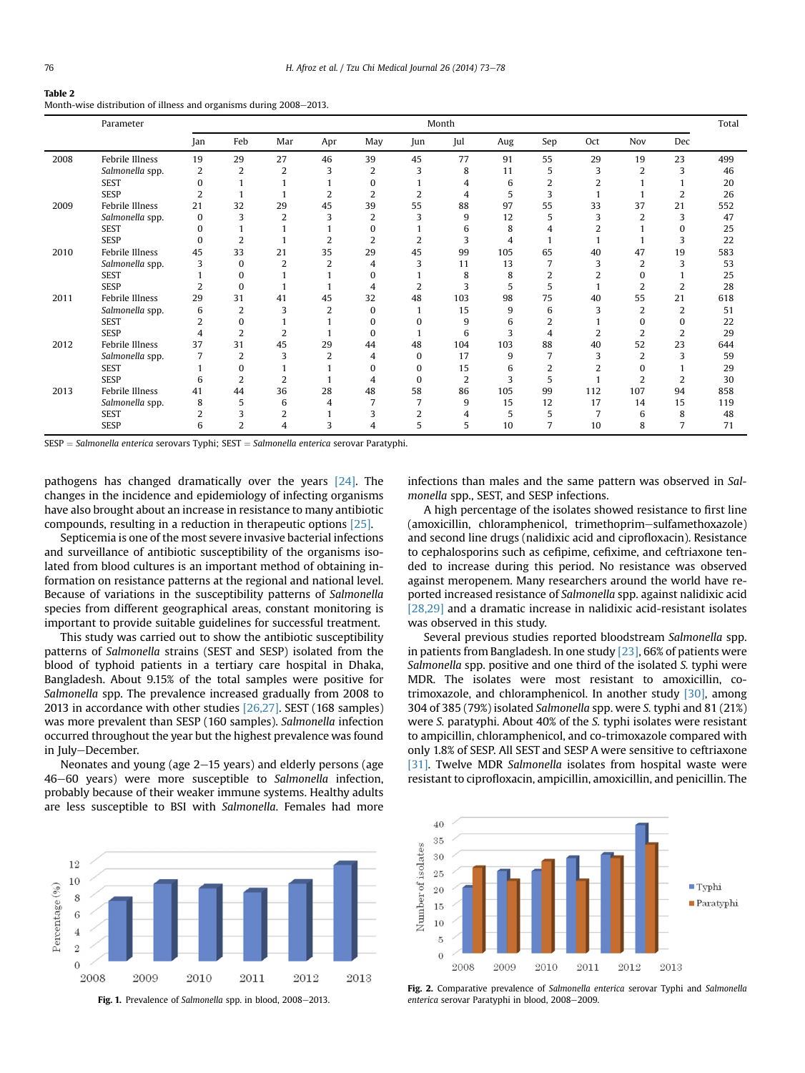#### <span id="page-3-0"></span>Table 2

Month-wise distribution of illness and organisms during 2008-2013.

|      | Parameter       |                |                |                |                |                |          | Month          |     |                |                |                |                | Total |
|------|-----------------|----------------|----------------|----------------|----------------|----------------|----------|----------------|-----|----------------|----------------|----------------|----------------|-------|
|      |                 | Jan            | Feb            | Mar            | Apr            | May            | Jun      | Jul            | Aug | Sep            | Oct            | Nov            | Dec            |       |
| 2008 | Febrile Illness | 19             | 29             | 27             | 46             | 39             | 45       | 77             | 91  | 55             | 29             | 19             | 23             | 499   |
|      | Salmonella spp. | 2              | $\overline{2}$ | $\overline{2}$ | 3              | $\overline{2}$ | 3        | 8              | 11  | 5              | 3              | 2              | 3              | 46    |
|      | <b>SEST</b>     | 0              |                |                |                | 0              |          | 4              | 6   | $\overline{2}$ | 2              |                |                | 20    |
|      | <b>SESP</b>     | $\overline{2}$ |                |                |                | $\overline{2}$ |          |                | 5   | 3              |                |                |                | 26    |
| 2009 | Febrile Illness | 21             | 32             | 29             | 45             | 39             | 55       | 88             | 97  | 55             | 33             | 37             | 21             | 552   |
|      | Salmonella spp. | $\bf{0}$       | 3              | $\overline{2}$ | 3              | $\overline{2}$ | 3        | 9              | 12  | 5              | 3              | $\overline{2}$ | 3              | 47    |
|      | <b>SEST</b>     | $\Omega$       |                |                |                | $\Omega$       |          | 6              | 8   |                | $\overline{2}$ |                | $\Omega$       | 25    |
|      | <b>SESP</b>     | $\Omega$       | $\overline{2}$ |                | 2              | $\overline{2}$ |          | 3              | 4   |                |                |                | 3              | 22    |
| 2010 | Febrile Illness | 45             | 33             | 21             | 35             | 29             | 45       | 99             | 105 | 65             | 40             | 47             | 19             | 583   |
|      | Salmonella spp. | 3              | $\Omega$       | $\overline{2}$ | $\overline{2}$ | 4              | 3        | 11             | 13  | 7              | 3              | 2              | 3              | 53    |
|      | <b>SEST</b>     |                | $\Omega$       |                |                | $\Omega$       |          | 8              | 8   | 2              | 2              | 0              |                | 25    |
|      | <b>SESP</b>     | $\overline{2}$ | $\Omega$       |                |                | 4              |          | 3              | 5   | 5              |                | 2              | 2              | 28    |
| 2011 | Febrile Illness | 29             | 31             | 41             | 45             | 32             | 48       | 103            | 98  | 75             | 40             | 55             | 21             | 618   |
|      | Salmonella spp. | 6              | $\overline{2}$ | 3              | $\overline{2}$ | $\Omega$       |          | 15             | 9   | 6              | 3              | $\overline{2}$ | $\overline{2}$ | 51    |
|      | <b>SEST</b>     | $\overline{2}$ | $\Omega$       |                |                | $\Omega$       |          | 9              | 6   | 2              |                | 0              | $\Omega$       | 22    |
|      | <b>SESP</b>     | 4              | $\overline{2}$ | $\overline{2}$ |                | 0              |          | 6              | 3   | 4              |                | $\mathcal{P}$  | 2              | 29    |
| 2012 | Febrile Illness | 37             | 31             | 45             | 29             | 44             | 48       | 104            | 103 | 88             | 40             | 52             | 23             | 644   |
|      | Salmonella spp. |                | $\overline{2}$ | 3              | 2              | 4              | $\Omega$ | 17             | 9   |                | 3              | 2              | 3              | 59    |
|      | <b>SEST</b>     |                | $\Omega$       |                |                | 0              |          | 15             | 6   | 2              | 2              | 0              |                | 29    |
|      | <b>SESP</b>     | 6              | $\overline{2}$ | $\overline{2}$ |                | 4              |          | $\overline{2}$ | 3   | 5              |                | $\overline{2}$ | 2              | 30    |
| 2013 | Febrile Illness | 41             | 44             | 36             | 28             | 48             | 58       | 86             | 105 | 99             | 112            | 107            | 94             | 858   |
|      | Salmonella spp. | 8              | 5              | 6              | 4              |                |          | 9              | 15  | 12             | 17             | 14             | 15             | 119   |
|      | <b>SEST</b>     | $\overline{2}$ | 3              | $\overline{2}$ |                | 3              | 2        | 4              | 5   | 5              | $\overline{7}$ | 6              | 8              | 48    |
|      | <b>SESP</b>     | 6              | $\overline{2}$ | 4              | 3              | 4              | 5        | 5              | 10  | 7              | 10             | 8              | 7              | 71    |

 $SESP = Salmonella$ enterica serovars Typhi;  $SEST = Salmonella$ enterica serovar Paratyphi.

pathogens has changed dramatically over the years [\[24\].](#page-5-0) The changes in the incidence and epidemiology of infecting organisms have also brought about an increase in resistance to many antibiotic compounds, resulting in a reduction in therapeutic options [\[25\]](#page-5-0).

Septicemia is one of the most severe invasive bacterial infections and surveillance of antibiotic susceptibility of the organisms isolated from blood cultures is an important method of obtaining information on resistance patterns at the regional and national level. Because of variations in the susceptibility patterns of Salmonella species from different geographical areas, constant monitoring is important to provide suitable guidelines for successful treatment.

This study was carried out to show the antibiotic susceptibility patterns of Salmonella strains (SEST and SESP) isolated from the blood of typhoid patients in a tertiary care hospital in Dhaka, Bangladesh. About 9.15% of the total samples were positive for Salmonella spp. The prevalence increased gradually from 2008 to 2013 in accordance with other studies [\[26,27\]](#page-5-0). SEST (168 samples) was more prevalent than SESP (160 samples). Salmonella infection occurred throughout the year but the highest prevalence was found in July-December.

Neonates and young (age  $2-15$  years) and elderly persons (age 46–60 years) were more susceptible to Salmonella infection, probably because of their weaker immune systems. Healthy adults are less susceptible to BSI with Salmonella. Females had more



Fig. 1. Prevalence of Salmonella spp. in blood, 2008-2013.

infections than males and the same pattern was observed in Salmonella spp., SEST, and SESP infections.

A high percentage of the isolates showed resistance to first line (amoxicillin, chloramphenicol, trimethoprim-sulfamethoxazole) and second line drugs (nalidixic acid and ciprofloxacin). Resistance to cephalosporins such as cefipime, cefixime, and ceftriaxone tended to increase during this period. No resistance was observed against meropenem. Many researchers around the world have reported increased resistance of Salmonella spp. against nalidixic acid [\[28,29\]](#page-5-0) and a dramatic increase in nalidixic acid-resistant isolates was observed in this study.

Several previous studies reported bloodstream Salmonella spp. in patients from Bangladesh. In one study [\[23\],](#page-5-0) 66% of patients were Salmonella spp. positive and one third of the isolated S, typhi were MDR. The isolates were most resistant to amoxicillin, cotrimoxazole, and chloramphenicol. In another study [\[30\],](#page-5-0) among 304 of 385 (79%) isolated Salmonella spp. were S. typhi and 81 (21%) were S. paratyphi. About 40% of the S. typhi isolates were resistant to ampicillin, chloramphenicol, and co-trimoxazole compared with only 1.8% of SESP. All SEST and SESP A were sensitive to ceftriaxone [\[31\].](#page-5-0) Twelve MDR Salmonella isolates from hospital waste were resistant to ciprofloxacin, ampicillin, amoxicillin, and penicillin. The



Fig. 2. Comparative prevalence of Salmonella enterica serovar Typhi and Salmonella enterica serovar Paratyphi in blood, 2008-2009.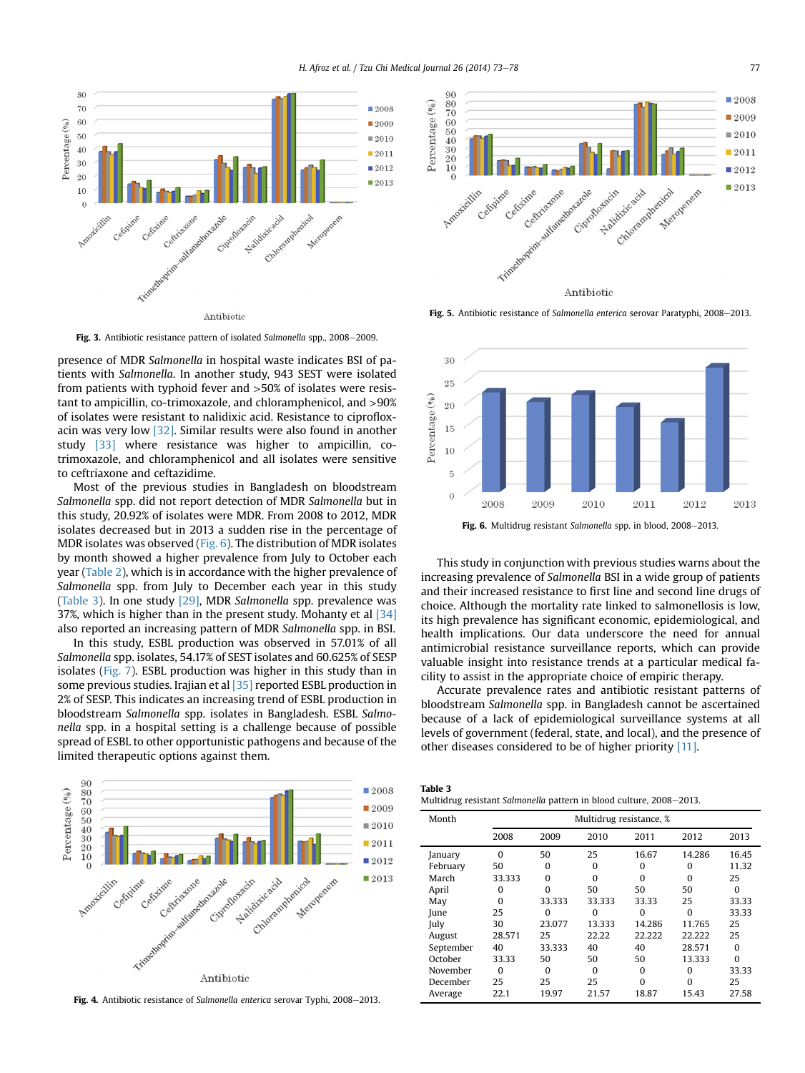<span id="page-4-0"></span>

Fig. 3. Antibiotic resistance pattern of isolated Salmonella spp.,  $2008-2009$ .

presence of MDR Salmonella in hospital waste indicates BSI of patients with Salmonella. In another study, 943 SEST were isolated from patients with typhoid fever and >50% of isolates were resistant to ampicillin, co-trimoxazole, and chloramphenicol, and >90% of isolates were resistant to nalidixic acid. Resistance to ciprofloxacin was very low [\[32\].](#page-5-0) Similar results were also found in another study [\[33\]](#page-5-0) where resistance was higher to ampicillin, cotrimoxazole, and chloramphenicol and all isolates were sensitive to ceftriaxone and ceftazidime.

Most of the previous studies in Bangladesh on bloodstream Salmonella spp. did not report detection of MDR Salmonella but in this study, 20.92% of isolates were MDR. From 2008 to 2012, MDR isolates decreased but in 2013 a sudden rise in the percentage of MDR isolates was observed (Fig. 6). The distribution of MDR isolates by month showed a higher prevalence from July to October each year ([Table 2](#page-3-0)), which is in accordance with the higher prevalence of Salmonella spp. from July to December each year in this study (Table 3). In one study [\[29\],](#page-5-0) MDR Salmonella spp. prevalence was 37%, which is higher than in the present study. Mohanty et al  $[34]$ also reported an increasing pattern of MDR Salmonella spp. in BSI.

In this study, ESBL production was observed in 57.01% of all Salmonella spp. isolates, 54.17% of SEST isolates and 60.625% of SESP isolates ([Fig. 7](#page-5-0)). ESBL production was higher in this study than in some previous studies. Irajian et al [\[35\]](#page-5-0) reported ESBL production in 2% of SESP. This indicates an increasing trend of ESBL production in bloodstream Salmonella spp. isolates in Bangladesh. ESBL Salmonella spp. in a hospital setting is a challenge because of possible spread of ESBL to other opportunistic pathogens and because of the limited therapeutic options against them.



Fig. 4. Antibiotic resistance of Salmonella enterica serovar Typhi, 2008-2013.



Fig. 5. Antibiotic resistance of Salmonella enterica serovar Paratyphi, 2008-2013.



Fig. 6. Multidrug resistant Salmonella spp. in blood, 2008-2013.

This study in conjunction with previous studies warns about the increasing prevalence of Salmonella BSI in a wide group of patients and their increased resistance to first line and second line drugs of choice. Although the mortality rate linked to salmonellosis is low, its high prevalence has significant economic, epidemiological, and health implications. Our data underscore the need for annual antimicrobial resistance surveillance reports, which can provide valuable insight into resistance trends at a particular medical facility to assist in the appropriate choice of empiric therapy.

Accurate prevalence rates and antibiotic resistant patterns of bloodstream Salmonella spp. in Bangladesh cannot be ascertained because of a lack of epidemiological surveillance systems at all levels of government (federal, state, and local), and the presence of other diseases considered to be of higher priority [\[11\].](#page-5-0)

| Table 3 |  |
|---------|--|
|---------|--|

| Multidrug resistant Salmonella pattern in blood culture, 2008–2013. |  |  |
|---------------------------------------------------------------------|--|--|
|---------------------------------------------------------------------|--|--|

| Month     | Multidrug resistance, % |          |          |          |          |          |  |  |
|-----------|-------------------------|----------|----------|----------|----------|----------|--|--|
|           | 2008                    | 2009     | 2010     | 2011     | 2012     | 2013     |  |  |
| January   | $\Omega$                | 50       | 25       | 16.67    | 14.286   | 16.45    |  |  |
| February  | 50                      | 0        | $\Omega$ | $\Omega$ | $\Omega$ | 11.32    |  |  |
| March     | 33.333                  | $\Omega$ | $\Omega$ | $\Omega$ | $\Omega$ | 25       |  |  |
| April     | O                       | $\Omega$ | 50       | 50       | 50       | $\Omega$ |  |  |
| May       | $\Omega$                | 33.333   | 33.333   | 33.33    | 25       | 33.33    |  |  |
| June      | 25                      | $\Omega$ | $\Omega$ | 0        | $\Omega$ | 33.33    |  |  |
| July      | 30                      | 23.077   | 13.333   | 14.286   | 11.765   | 25       |  |  |
| August    | 28.571                  | 25       | 22.22    | 22.222   | 22.222   | 25       |  |  |
| September | 40                      | 33.333   | 40       | 40       | 28.571   | $\Omega$ |  |  |
| October   | 33.33                   | 50       | 50       | 50       | 13.333   | $\Omega$ |  |  |
| November  | $\Omega$                | $\Omega$ | $\Omega$ | $\Omega$ | $\Omega$ | 33.33    |  |  |
| December  | 25                      | 25       | 25       | $\Omega$ | $\Omega$ | 25       |  |  |
| Average   | 22.1                    | 19.97    | 21.57    | 18.87    | 15.43    | 27.58    |  |  |